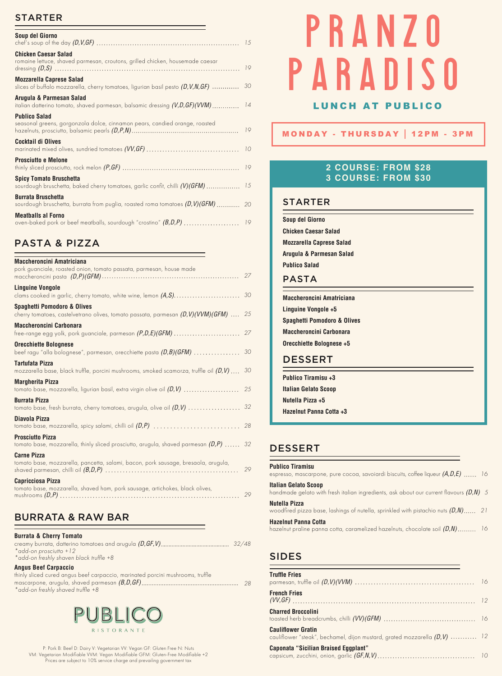#### STARTER

| Soup del Giorno                                                                                                        |    |
|------------------------------------------------------------------------------------------------------------------------|----|
| <b>Chicken Caesar Salad</b><br>romaine lettuce, shaved parmesan, croutons, grilled chicken, housemade caesar           |    |
| <b>Mozzarella Caprese Salad</b><br>slices of buffalo mozzarella, cherry tomatoes, ligurian basil pesto $(D, V, N, GF)$ | 30 |
| Arugula & Parmesan Salad                                                                                               |    |
| <b>Publico Salad</b><br>seasonal greens, gorgonzola dolce, cinnamon pears, candied orange, roasted                     | 19 |
| Cocktail di Olives                                                                                                     |    |
| <b>Prosciutto e Melone</b>                                                                                             |    |
| <b>Spicy Tomato Bruschetta</b><br>sourdough bruschetta, baked cherry tomatoes, garlic confit, chilli (V)(GFM) 15       |    |
| <b>Burrata Bruschetta</b><br>sourdough bruschetta, burrata from puglia, roasted roma tomatoes (D, V) (GFM)  20         |    |
| <b>Meatballs al Forno</b><br>oven-baked pork or beef meatballs, sourdough "crostino" (B,D,P)  19                       |    |

## PASTA & PIZZA

| Maccheroncini Amatriciana<br>pork guanciale, roasted onion, tomato passata, parmesan, house made                                    | 27 |
|-------------------------------------------------------------------------------------------------------------------------------------|----|
| <b>Linguine Vongole</b><br>clams cooked in garlic, cherry tomato, white wine, lemon $(A, S)$                                        | 30 |
| Spaghetti Pomodoro & Olives<br>cherry tomatoes, castelvetrano olives, tomato passata, parmesan $(D, V)(VVM)(GFM)$ 25                |    |
| Maccheroncini Carbonara                                                                                                             |    |
| <b>Orecchiette Bolognese</b><br>beef ragu "alla bolognese", parmesan, orecchiette pasta $(D,B)(GFM)$                                | 30 |
| Tartufata Pizza<br>mozzarella base, black truffle, porcini mushrooms, smoked scamorza, truffle oil $(D,V) \ldots$                   | 30 |
| <b>Margherita Pizza</b><br>tomato base, mozzarella, ligurian basil, extra virgin olive oil $(D,V)$ $\ldots\ldots\ldots\ldots\ldots$ | 25 |
| <b>Burrata Pizza</b><br>tomato base, fresh burrata, cherry tomatoes, arugula, olive oil $(D, V)$                                    | 32 |
| Diavola Pizza                                                                                                                       |    |
| <b>Prosciutto Pizza</b><br>tomato base, mozzarella, thinly sliced prosciutto, arugula, shaved parmesan $(D,P)$ 32                   |    |
| <b>Carne Pizza</b><br>tomato base, mozzarella, pancetta, salami, bacon, pork sausage, bresaola, arugula,                            | 29 |
| Capricciosa Pizza<br>tomato base, mozzarella, shaved ham, pork sausage, artichokes, black olives,                                   | 29 |
|                                                                                                                                     |    |

## BURRATA & RAW BAR

| <b>Burrata &amp; Cherry Tomato</b>           |  |
|----------------------------------------------|--|
|                                              |  |
| $*$ add-on prosciutto $+12$                  |  |
| $*$ add-on freshly shaven black truffle $+8$ |  |
| <b>Angus Beef Carpaccio</b>                  |  |

thinly sliced cured angus beef carpaccio, marinated porcini mushrooms, truffle mascarpone, arugula, shaved parmesan *(B,D,GF) 28 \*add-on freshly shaved truffle +8*



P: Pork B: Beef D: Dairy V: Vegetarian VV: Vegan GF: Gluten Free N: Nuts VM: Vegetarian Modifiable VVM: Vegan Modifiable GFM: Gluten-Free Modifiable +2 Prices are subject to 10% service charge and prevailing government tax

# PRANZO PARADISO

#### LUNCH AT PUBLICO

MONDAY - THURSDAY 12PM - 3PM

#### **2 COURSE: FROM \$28 3 COURSE: FROM \$30**

#### STARTER

| Soup del Giorno                 |
|---------------------------------|
| Chicken Caesar Salad            |
| <b>Mozzarella Caprese Salad</b> |
| Arugula & Parmesan Salad        |
| <b>Publico Salad</b>            |
| <b>DACTA</b>                    |

PASTA

**Maccheroncini Amatriciana Linguine Vongole +5 Spaghetti Pomodoro & Olives Maccheroncini Carbonara Orecchiette Bolognese +5** 

#### **DESSERT**

**Publico Tiramisu +3 Italian Gelato Scoop Nutella Pizza +5 Hazelnut Panna Cotta +3**

## DESSERT

#### **Publico Tiramisu**

espresso, mascarpone, pure cocoa, savoiardi biscuits, coffee liqueur *(A,D,E) 16* **Italian Gelato Scoop**  handmade gelato with fresh italian ingredients, ask about our current flavours *(D,N) 5* **Nutella Pizza**  woodfired pizza base, lashings of nutella, sprinkled with pistachio nuts *(D,N) 21* **Hazelnut Panna Cotta**  hazelnut praline panna cotta, caramelized hazelnuts, chocolate soil *(D,N) 16*

#### SIDES

| <b>Truffle Fries</b>                                                                                    |  |
|---------------------------------------------------------------------------------------------------------|--|
| <b>French Fries</b>                                                                                     |  |
| <b>Charred Broccolini</b>                                                                               |  |
| <b>Cauliflower Gratin</b><br>cauliflower "steak", bechamel, dijon mustard, grated mozzarella (D, V)  12 |  |
| Caponata "Sicilian Braised Eggplant"                                                                    |  |